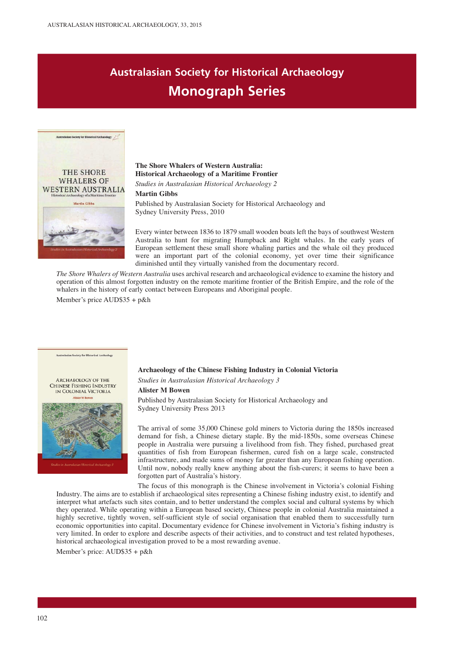## **Australasian Society for Historical Archaeology Monograph Series**



### **The Shore Whalers of Western Australia: Historical Archaeology of a Maritime Frontier**

*Studies in Australasian Historical Archaeology 2*

#### **Martin Gibbs**

Published by Australasian Society for Historical Archaeology and Sydney University Press, 2010

Every winter between 1836 to 1879 small wooden boats left the bays of southwest Western Australia to hunt for migrating Humpback and Right whales. In the early years of European settlement these small shore whaling parties and the whale oil they produced were an important part of the colonial economy, yet over time their significance diminished until they virtually vanished from the documentary record.

*The Shore Whalers of Western Australia* uses archival research and archaeological evidence to examine the history and operation of this almost forgotten industry on the remote maritime frontier of the British Empire, and the role of the whalers in the history of early contact between Europeans and Aboriginal people.

Member's price AUD\$35 + p&h



**Australasian Society for Historical Archeology** 

## **Archaeology of the Chinese Fishing Industry in Colonial Victoria**

*Studies in Australasian Historical Archaeology 3*

### **Alister M Bowen**

Published by Australasian Society for Historical Archaeology and Sydney University Press 2013

The arrival of some 35,000 Chinese gold miners to Victoria during the 1850s increased demand for fish, a Chinese dietary staple. By the mid-1850s, some overseas Chinese people in Australia were pursuing a livelihood from fish. They fished, purchased great quantities of fish from European fishermen, cured fish on a large scale, constructed infrastructure, and made sums of money far greater than any European fishing operation. Until now, nobody really knew anything about the fish-curers; it seems to have been a forgotten part of Australia's history.

The focus of this monograph is the Chinese involvement in Victoria's colonial Fishing Industry. The aims are to establish if archaeological sites representing a Chinese fishing industry exist, to identify and interpret what artefacts such sites contain, and to better understand the complex social and cultural systems by which they operated. While operating within a European based society, Chinese people in colonial Australia maintained a highly secretive, tightly woven, self-sufficient style of social organisation that enabled them to successfully turn economic opportunities into capital. Documentary evidence for Chinese involvement in Victoria's fishing industry is very limited. In order to explore and describe aspects of their activities, and to construct and test related hypotheses, historical archaeological investigation proved to be a most rewarding avenue.

Member's price: AUD\$35 + p&h